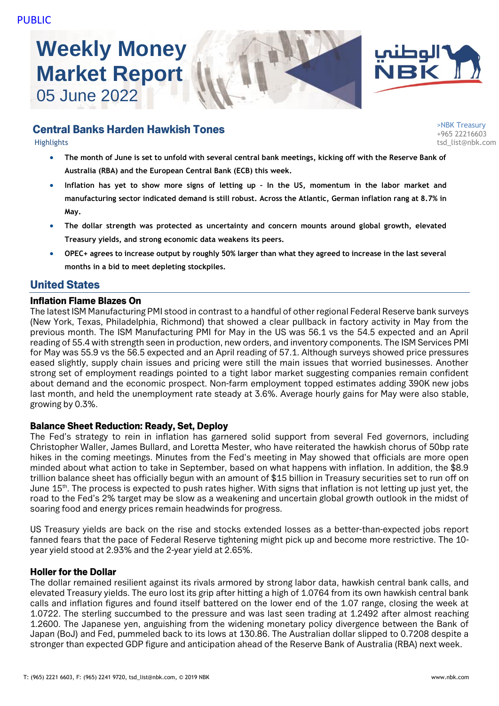# **Weekly Money Market Report** 05 June 2022





# Central Banks Harden Hawkish Tones

- **The month of June is set to unfold with several central bank meetings, kicking off with the Reserve Bank of Australia (RBA) and the European Central Bank (ECB) this week.**
- **Inflation has yet to show more signs of letting up – In the US, momentum in the labor market and manufacturing sector indicated demand is still robust. Across the Atlantic, German inflation rang at 8.7% in May.**
- **The dollar strength was protected as uncertainty and concern mounts around global growth, elevated Treasury yields, and strong economic data weakens its peers.**
- **OPEC+ agrees to increase output by roughly 50% larger than what they agreed to increase in the last several months in a bid to meet depleting stockpiles.**

## United States

#### Inflation Flame Blazes On

The latest ISM Manufacturing PMI stood in contrast to a handful of other regional Federal Reserve bank surveys (New York, Texas, Philadelphia, Richmond) that showed a clear pullback in factory activity in May from the previous month. The ISM Manufacturing PMI for May in the US was 56.1 vs the 54.5 expected and an April reading of 55.4 with strength seen in production, new orders, and inventory components. The ISM Services PMI for May was 55.9 vs the 56.5 expected and an April reading of 57.1. Although surveys showed price pressures eased slightly, supply chain issues and pricing were still the main issues that worried businesses. Another strong set of employment readings pointed to a tight labor market suggesting companies remain confident about demand and the economic prospect. Non-farm employment topped estimates adding 390K new jobs last month, and held the unemployment rate steady at 3.6%. Average hourly gains for May were also stable, growing by 0.3%.

## Balance Sheet Reduction: Ready, Set, Deploy

The Fed's strategy to rein in inflation has garnered solid support from several Fed governors, including Christopher Waller, James Bullard, and Loretta Mester, who have reiterated the hawkish chorus of 50bp rate hikes in the coming meetings. Minutes from the Fed's meeting in May showed that officials are more open minded about what action to take in September, based on what happens with inflation. In addition, the \$8.9 trillion balance sheet has officially begun with an amount of \$15 billion in Treasury securities set to run off on June 15<sup>th</sup>. The process is expected to push rates higher. With signs that inflation is not letting up just yet, the road to the Fed's 2% target may be slow as a weakening and uncertain global growth outlook in the midst of soaring food and energy prices remain headwinds for progress.

US Treasury yields are back on the rise and stocks extended losses as a better-than-expected jobs report fanned fears that the pace of Federal Reserve tightening might pick up and become more restrictive. The 10 year yield stood at 2.93% and the 2-year yield at 2.65%.

## Holler for the Dollar

The dollar remained resilient against its rivals armored by strong labor data, hawkish central bank calls, and elevated Treasury yields. The euro lost its grip after hitting a high of 1.0764 from its own hawkish central bank calls and inflation figures and found itself battered on the lower end of the 1.07 range, closing the week at 1.0722. The sterling succumbed to the pressure and was last seen trading at 1.2492 after almost reaching 1.2600. The Japanese yen, anguishing from the widening monetary policy divergence between the Bank of Japan (BoJ) and Fed, pummeled back to its lows at 130.86. The Australian dollar slipped to 0.7208 despite a stronger than expected GDP figure and anticipation ahead of the Reserve Bank of Australia (RBA) next week.

>NBK Treasury +965 22216603 Highlights tsd\_list@nbk.com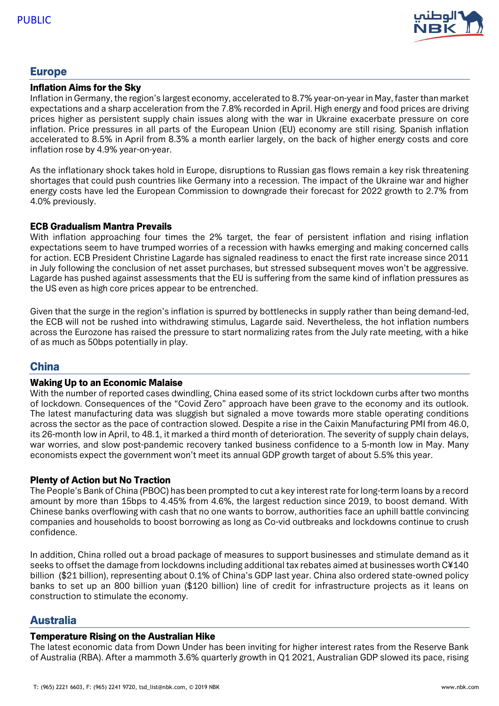

## Europe

#### Inflation Aims for the Sky

Inflation in Germany, the region's largest economy, accelerated to 8.7% year-on-year in May, faster than market expectations and a sharp acceleration from the 7.8% recorded in April. High energy and food prices are driving prices higher as persistent supply chain issues along with the war in Ukraine exacerbate pressure on core inflation. Price pressures in all parts of the European Union (EU) economy are still rising. Spanish inflation accelerated to 8.5% in April from 8.3% a month earlier largely, on the back of higher energy costs and core inflation rose by 4.9% year-on-year.

As the inflationary shock takes hold in Europe, disruptions to Russian gas flows remain a key risk threatening shortages that could push countries like Germany into a recession. The impact of the Ukraine war and higher energy costs have led the European Commission to downgrade their forecast for 2022 growth to 2.7% from 4.0% previously.

#### ECB Gradualism Mantra Prevails

With inflation approaching four times the 2% target, the fear of persistent inflation and rising inflation expectations seem to have trumped worries of a recession with hawks emerging and making concerned calls for action. ECB President Christine Lagarde has signaled readiness to enact the first rate increase since 2011 in July following the conclusion of net asset purchases, but stressed subsequent moves won't be aggressive. Lagarde has pushed against assessments that the EU is suffering from the same kind of inflation pressures as the US even as high core prices appear to be entrenched.

Given that the surge in the region's inflation is spurred by bottlenecks in supply rather than being demand-led, the ECB will not be rushed into withdrawing stimulus, Lagarde said. Nevertheless, the hot inflation numbers across the Eurozone has raised the pressure to start normalizing rates from the July rate meeting, with a hike of as much as 50bps potentially in play.

## China

#### Waking Up to an Economic Malaise

With the number of reported cases dwindling, China eased some of its strict lockdown curbs after two months of lockdown. Consequences of the "Covid Zero" approach have been grave to the economy and its outlook. The latest manufacturing data was sluggish but signaled a move towards more stable operating conditions across the sector as the pace of contraction slowed. Despite a rise in the Caixin Manufacturing PMI from 46.0, its 26-month low in April, to 48.1, it marked a third month of deterioration. The severity of supply chain delays, war worries, and slow post-pandemic recovery tanked business confidence to a 5-month low in May. Many economists expect the government won't meet its annual GDP growth target of about 5.5% this year.

#### Plenty of Action but No Traction

The People's Bank of China (PBOC) has been prompted to cut a key interest rate for long-term loans by a record amount by more than 15bps to 4.45% from 4.6%, the largest reduction since 2019, to boost demand. With Chinese banks overflowing with cash that no one wants to borrow, authorities face an uphill battle convincing companies and households to boost borrowing as long as Co-vid outbreaks and lockdowns continue to crush confidence.

In addition, China rolled out a broad package of measures to support businesses and stimulate demand as it seeks to offset the damage from lockdowns including additional tax rebates aimed at businesses worth C¥140 billion (\$21 billion), representing about 0.1% of China's GDP last year. China also ordered state-owned policy banks to set up an 800 billion yuan (\$120 billion) line of credit for infrastructure projects as it leans on construction to stimulate the economy.

## Australia

#### Temperature Rising on the Australian Hike

The latest economic data from Down Under has been inviting for higher interest rates from the Reserve Bank of Australia (RBA). After a mammoth 3.6% quarterly growth in Q1 2021, Australian GDP slowed its pace, rising